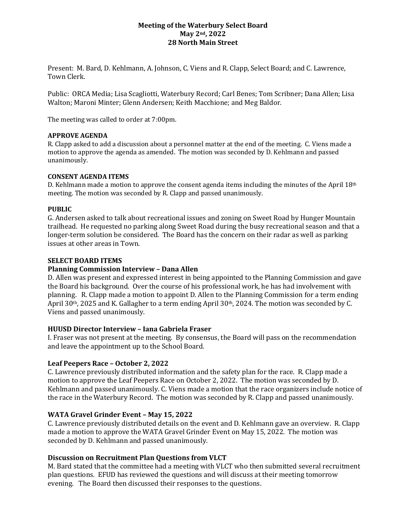# **Meeting of the Waterbury Select Board May 2nd, 2022 28 North Main Street**

Present: M. Bard, D. Kehlmann, A. Johnson, C. Viens and R. Clapp, Select Board; and C. Lawrence, Town Clerk.

Public: ORCA Media; Lisa Scagliotti, Waterbury Record; Carl Benes; Tom Scribner; Dana Allen; Lisa Walton; Maroni Minter; Glenn Andersen; Keith Macchione; and Meg Baldor.

The meeting was called to order at 7:00pm.

## **APPROVE AGENDA**

R. Clapp asked to add a discussion about a personnel matter at the end of the meeting. C. Viens made a motion to approve the agenda as amended. The motion was seconded by D. Kehlmann and passed unanimously.

## **CONSENT AGENDA ITEMS**

D. Kehlmann made a motion to approve the consent agenda items including the minutes of the April  $18<sup>th</sup>$ meeting. The motion was seconded by R. Clapp and passed unanimously.

#### **PUBLIC**

G. Andersen asked to talk about recreational issues and zoning on Sweet Road by Hunger Mountain trailhead. He requested no parking along Sweet Road during the busy recreational season and that a longer-term solution be considered. The Board has the concern on their radar as well as parking issues at other areas in Town.

#### **SELECT BOARD ITEMS**

## **Planning Commission Interview – Dana Allen**

D. Allen was present and expressed interest in being appointed to the Planning Commission and gave the Board his background. Over the course of his professional work, he has had involvement with planning. R. Clapp made a motion to appoint D. Allen to the Planning Commission for a term ending April 30th, 2025 and K. Gallagher to a term ending April 30th, 2024. The motion was seconded by C. Viens and passed unanimously.

## **HUUSD Director Interview – Iana Gabriela Fraser**

I. Fraser was not present at the meeting. By consensus, the Board will pass on the recommendation and leave the appointment up to the School Board.

## **Leaf Peepers Race – October 2, 2022**

C. Lawrence previously distributed information and the safety plan for the race. R. Clapp made a motion to approve the Leaf Peepers Race on October 2, 2022. The motion was seconded by D. Kehlmann and passed unanimously. C. Viens made a motion that the race organizers include notice of the race in the Waterbury Record. The motion was seconded by R. Clapp and passed unanimously.

## **WATA Gravel Grinder Event – May 15, 2022**

C. Lawrence previously distributed details on the event and D. Kehlmann gave an overview. R. Clapp made a motion to approve the WATA Gravel Grinder Event on May 15, 2022. The motion was seconded by D. Kehlmann and passed unanimously.

## **Discussion on Recruitment Plan Questions from VLCT**

M. Bard stated that the committee had a meeting with VLCT who then submitted several recruitment plan questions. EFUD has reviewed the questions and will discuss at their meeting tomorrow evening. The Board then discussed their responses to the questions.